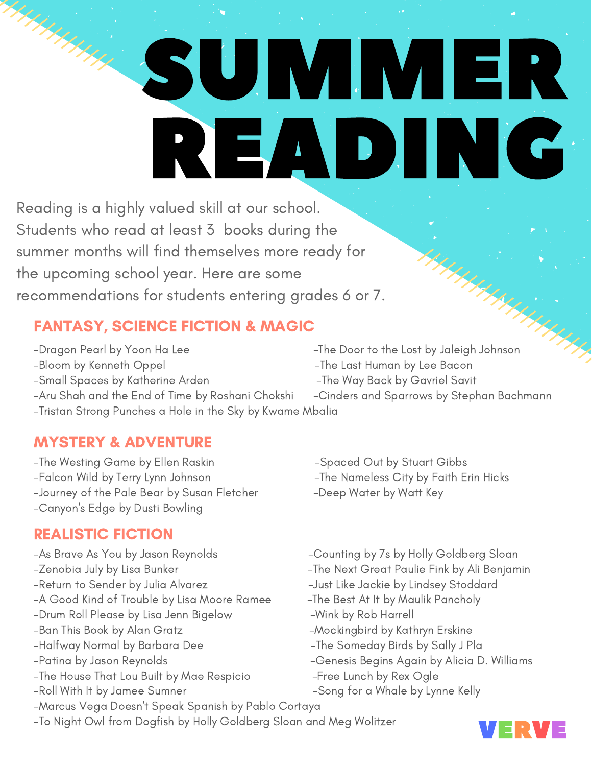# UJ VII VII ER READING

Reading is a highly valued skill at our school. Students who read at least 3 books during the summer months will find themselves more ready for the upcoming school year. Here are some recommendations for students entering grades 6 or 7.

## FANTASY, SCIENCE FICTION & MAGIC

-Dragon Pearl by Yoon Ha Lee  $\overline{I}$  -The Door to the Lost by Jaleigh Johnson -Bloom by Kenneth Oppel -The Last Human by Lee Bacon -Small Spaces by Katherine Arden -The Way Back by Gavriel Savit

- 
- 
- 
- -Aru Shah and the End of Time by Roshani Chokshi Cinders and Sparrows by Stephan Bachmann -Tristan Strong Punches a Hole in the Sky by Kwame Mbalia

## MYSTERY & ADVENTURE

-The Westing Game by Ellen Raskin - Spaced Out by Stuart Gibbs -Falcon Wild by Terry Lynn Johnson -The Nameless City by Faith Erin Hicks -Journey of the Pale Bear by Susan Fletcher -Deep Water by Watt Key -Canyon ' s Edge by Dusti Bowling

## REALISTIC FICTION

- 
- 
- 
- -A Good Kind of Trouble by Lisa Moore Ramee The Best At It by Maulik Pancholy
- -Drum Roll Please by Lisa Jenn Bigelow -Wink by Rob Harrell
- 
- 
- 
- -The House That Lou Built by Mae Respicio -Free Lunch by Rex Ogle
- 
- -Marcus Vega Doesn 't Speak Spanish by Pablo Cortaya
- -To Night Owl from Dogfish by Holly Goldberg Sloan and Meg Wolitzer
- 
- 
- 
- -As Brave As You by Jason Reynolds Counting by 7s by Holly Goldberg Sloan
- -Zenobia July by Lisa Bunker -The Next Great Paulie Fink by Ali Benjamin
- -Return to Sender by Julia Alvarez The Senate Like Jackie by Lindsey Stoddard
	-
	-
- -Ban This Book by Alan Gratz -Mockingbird by Kathryn Erskine
- -Halfway Normal by Barbara Dee -The Someday Birds by Sally J Pla
- -Patina by Jason Reynolds Genesis Begins Again by Alicia D. Williams
	-
- -Roll With It by Jamee Sumner The Song for a Whale by Lynne Kelly